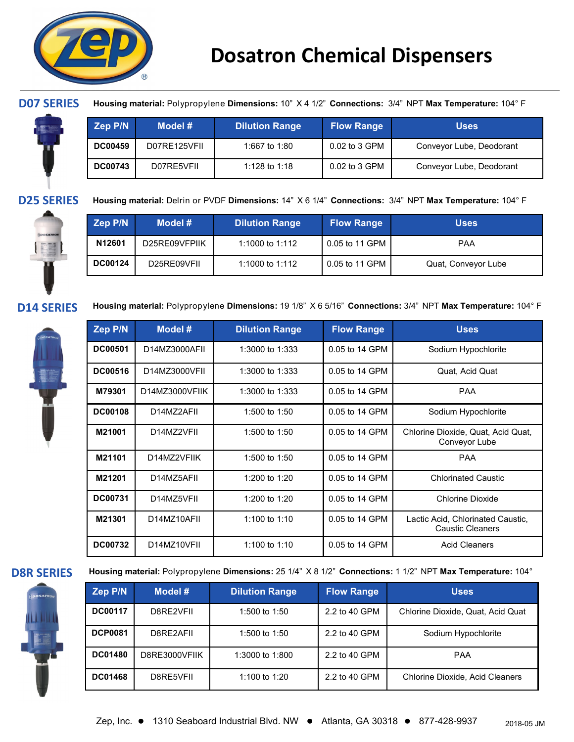



**D07 SERIES Housing material:** Polypropylene **Dimensions:** 10" X 4 1/2" **Connections:** 3/4" NPT **Max Temperature:** 104° F

| Zep P/N        | Model #      | <b>Dilution Range</b> | <b>Flow Range</b> | <b>Uses</b>              |
|----------------|--------------|-----------------------|-------------------|--------------------------|
| <b>DC00459</b> | D07RE125VFII | 1:667 to 1:80         | 0.02 to 3 GPM     | Conveyor Lube, Deodorant |
| <b>DC00743</b> | D07RE5VFIL   | 1:128 to 1:18         | 0.02 to 3 GPM     | Conveyor Lube, Deodorant |

**D25 SERIES Housing material:** Delrin or PVDF **Dimensions:** 14" X 6 1/4" **Connections:** 3/4" NPT **Max Temperature:** 104° F



| Zep P/N        | Model #       | <b>Dilution Range</b> | <b>Flow Range</b> | <b>Uses</b>         |
|----------------|---------------|-----------------------|-------------------|---------------------|
| N12601         | D25RE09VFPIIK | 1:1000 to 1:112       | 0.05 to 11 GPM    | <b>PAA</b>          |
| <b>DC00124</b> | D25RE09VFII   | 1:1000 to 1:112       | 0.05 to 11 GPM I  | Quat, Conveyor Lube |



**D14 SERIES Housing material:** Polypropylene **Dimensions:** 19 1/8" X 6 5/16" **Connections:** 3/4" NPT **Max Temperature:** 104° <sup>F</sup>

| Zep P/N        | Model #        | <b>Dilution Range</b> | <b>Flow Range</b> | <b>Uses</b>                                                  |
|----------------|----------------|-----------------------|-------------------|--------------------------------------------------------------|
| <b>DC00501</b> | D14MZ3000AFII  | 1:3000 to 1:333       | 0.05 to 14 GPM    | Sodium Hypochlorite                                          |
| <b>DC00516</b> | D14MZ3000VFII  | 1:3000 to 1:333       | 0.05 to 14 GPM    | Quat, Acid Quat                                              |
| M79301         | D14MZ3000VFIIK | 1:3000 to 1:333       | 0.05 to 14 GPM    | <b>PAA</b>                                                   |
| <b>DC00108</b> | D14MZ2AFII     | 1:500 to 1:50         | 0.05 to 14 GPM    | Sodium Hypochlorite                                          |
| M21001         | D14MZ2VFII     | 1:500 to 1:50         | 0.05 to 14 GPM    | Chlorine Dioxide, Quat, Acid Quat,<br>Conveyor Lube          |
| M21101         | D14MZ2VFIIK    | 1:500 to 1:50         | 0.05 to 14 GPM    | <b>PAA</b>                                                   |
| M21201         | D14MZ5AFII     | 1:200 to 1:20         | 0.05 to 14 GPM    | <b>Chlorinated Caustic</b>                                   |
| <b>DC00731</b> | D14MZ5VFII     | 1:200 to 1:20         | 0.05 to 14 GPM    | Chlorine Dioxide                                             |
| M21301         | D14MZ10AFII    | 1:100 to 1:10         | 0.05 to 14 GPM    | Lactic Acid, Chlorinated Caustic,<br><b>Caustic Cleaners</b> |
| <b>DC00732</b> | D14MZ10VFII    | 1:100 to 1:10         | 0.05 to 14 GPM    | <b>Acid Cleaners</b>                                         |



**D8R SERIES Housing material:** Polypropylene **Dimensions:** 25 1/4" X 8 1/2" **Connections:** 1 1/2" NPT **Max Temperature:** 104°

| Zep P/N        | Model #       | <b>Dilution Range</b> | <b>Flow Range</b> | <b>Uses</b>                            |
|----------------|---------------|-----------------------|-------------------|----------------------------------------|
| <b>DC00117</b> | D8RF2VFIL     | 1:500 to 1:50         | 2.2 to 40 GPM     | Chlorine Dioxide, Quat, Acid Quat      |
| <b>DCP0081</b> | D8RF2AFIL     | 1:500 to 1:50         | 2.2 to 40 GPM     | Sodium Hypochlorite                    |
| <b>DC01480</b> | D8RE3000VFIIK | 1:3000 to 1:800       | 2.2 to 40 GPM     | <b>PAA</b>                             |
| <b>DC01468</b> | D8RF5VFIL     | 1:100 to 1:20         | 2.2 to 40 GPM     | <b>Chlorine Dioxide, Acid Cleaners</b> |